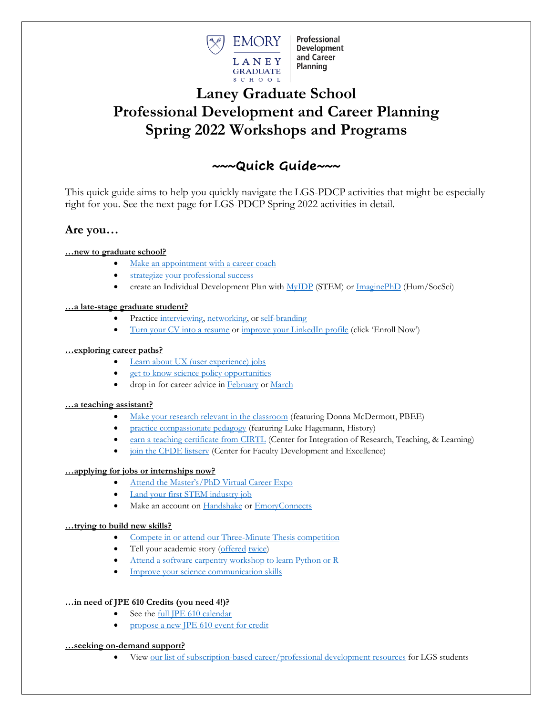

Professional **Development** and Career **Planning** 

# **Laney Graduate School Professional Development and Career Planning Spring 2022 Workshops and Programs**

# **~~~Quick Guide~~~**

This quick guide aims to help you quickly navigate the LGS-PDCP activities that might be especially right for you. See the next page for LGS-PDCP Spring 2022 activities in detail.

# **Are you…**

## **…new to graduate school?**

- [Make an appointment with a career coach](https://www.gs.emory.edu/professional-development/job-search/career-coaching.html)
- [strategize your professional success](https://www.trumba.com/calendars/Emory_Grad_School_Main?eventid=157069132)
- create an Individual Development Plan with [MyIDP](https://myidp.sciencecareers.org/) (STEM) or [ImaginePhD](https://www.imaginephd.com/) (Hum/SocSci)

## **…a late-stage graduate student?**

- Practice [interviewing,](https://www.trumba.com/calendars/Emory_Grad_School_Main?eventid=157364646) [networking,](https://www.trumba.com/calendars/Emory_Grad_School_Main?eventid=157366480) or [self-branding](https://www.trumba.com/calendars/Emory_Grad_School_Main?eventid=157367128)
- [Turn your CV into a resume](https://www.trumba.com/calendars/Emory_Grad_School_Main?eventid=157407528) o[r improve your LinkedIn profile](https://courses.breakinto.tech/courses/linkedin?th__ug=b52b88e8&th__c=emorymed) (click 'Enroll Now')

## **…exploring career paths?**

- [Learn about UX \(user experience\) jobs](https://www.trumba.com/calendars/Emory_Grad_School_Main?eventid=157205781)
- [get to know science policy opportunities](https://www.trumba.com/calendars/Emory_Grad_School_Main?eventid=157255022)
- drop in for career advice i[n February](https://www.trumba.com/calendars/Emory_Grad_School_Main?eventid=157366426) o[r March](https://www.trumba.com/calendars/Emory_Grad_School_Main?eventid=157367592)

## **…a teaching assistant?**

- [Make your research relevant in the classroom](https://www.trumba.com/calendars/Emory_Grad_School_Main?eventid=157192835) (featuring Donna McDermott, PBEE)
- [practice compassionate pedagogy](https://www.trumba.com/calendars/Emory_Grad_School_Main?eventid=157192807) (featuring Luke Hagemann, History)
- [earn a teaching certificate from CIRTL](https://gs.emory.edu/professional-development/cirtl/index.html) (Center for Integration of Research, Teaching, & Learning)
- [join the CFDE](https://cfde.emory.edu/contact-us/listserv.html) listsery (Center for Faculty Development and Excellence)

### **…applying for jobs or internships now?**

- [Attend the Master's/PhD Virtual Career Expo](https://www.trumba.com/calendars/Emory_Grad_School_Main?eventid=156491317)
- [Land your first STEM industry job](https://forms.office.com/Pages/ResponsePage.aspx?id=nPsE4KSwT0K80DImBtXfOGtVMURgKlhOlWv2eLCGVh5UMzZFNjM1TEozTzdFU1g3NkhVNktISDZFRy4u)
- Make an account on [Handshake](https://joinhandshake.com/) or [EmoryConnects](https://connects.emory.edu/)

## **…trying to build new skills?**

- [Compete in or attend our Three-Minute Thesis competition](https://www.gs.emory.edu/professional-development/sharpening-skills/3MT.html)
- Tell your academic story [\(offered](https://www.trumba.com/calendars/emory_LGS_professional_development?eventid=156944091) [twice\)](https://www.trumba.com/calendars/emory_LGS_professional_development?eventid=157192628)
- [Attend a software carpentry workshop to learn Python or R](https://www.eventbrite.com/e/software-carpentry-workshop-february-2022-tickets-229567250827)
- [Improve your science communication skills](https://emory.zoom.us/meeting/register/tJUtd-CvqD8rH9HPgCVv4iiXPI4TDKEZZgLy)

## **…in need of JPE 610 Credits (you need 4!)?**

- See the [full JPE 610 calendar](https://www.gs.emory.edu/professional-development/jpe/jpe610.html)
- [propose a new JPE 610 event for credit](https://forms.office.com/Pages/ResponsePage.aspx?id=nPsE4KSwT0K80DImBtXfOO5mfT-ie5RIv4Tqk9rxpAxUOFExUDQzWDdSU0pPV1UwMEo4SEVBU1VYVi4u)

### **…seeking on-demand support?**

• View [our list of subscription-based career/professional development resources](https://gs.emory.edu/professional-development/sharpening-skills/online-resources.html) for LGS students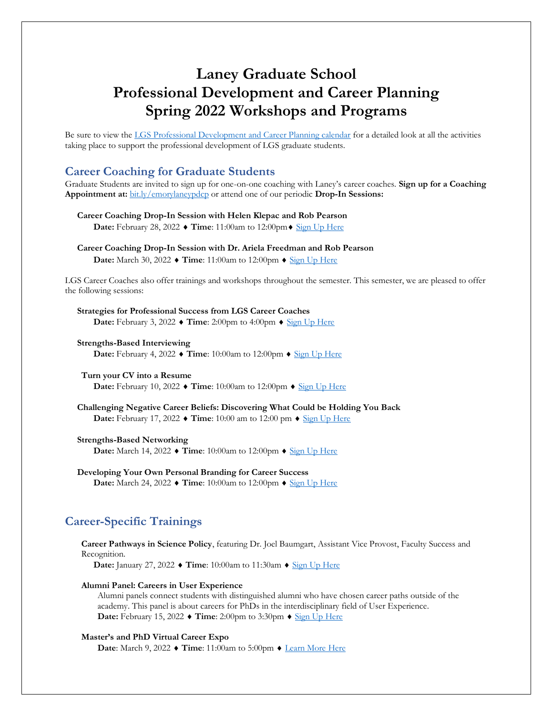# **Laney Graduate School Professional Development and Career Planning Spring 2022 Workshops and Programs**

Be sure to view the [LGS Professional Development and Career Planning calendar](https://www.trumba.com/calendars/emory_LGS_professional_development) for a detailed look at all the activities taking place to support the professional development of LGS graduate students.

## **Career Coaching for Graduate Students**

Graduate Students are invited to sign up for one-on-one coaching with Laney's career coaches. **Sign up for a Coaching Appointment at:** [bit.ly/emorylaneypdcp](https://bit.ly/emorylaneypdcp) or attend one of our periodic **Drop-In Sessions:**

- **Career Coaching Drop-In Session with Helen Klepac and Rob Pearson Date:** February 28, 2022 ♦ Time: 11:00am to 12:00pm ♦ [Sign Up Here](https://www.trumba.com/calendars/Emory_Grad_School_Main?eventid=157366426)
- **Career Coaching Drop-In Session with Dr. Ariela Freedman and Rob Pearson Date:** March 30, 2022 ♦ Time: 11:00am to 12:00pm ♦ [Sign Up Here](https://www.trumba.com/calendars/Emory_Grad_School_Main?eventid=157367592)

LGS Career Coaches also offer trainings and workshops throughout the semester. This semester, we are pleased to offer the following sessions:

**Strategies for Professional Success from LGS Career Coaches Date:** February 3, 2022 ♦ Time: 2:00pm to 4:00pm ♦ [Sign Up Here](https://www.trumba.com/calendars/Emory_Grad_School_Main?eventid=157069132)

**Strengths-Based Interviewing Date:** February 4, 2022  $\blacklozenge$  **Time**: 10:00am to 12:00pm  $\blacklozenge$  [Sign Up Here](https://www.trumba.com/calendars/Emory_Grad_School_Main?eventid=157364646)

#### **Turn your CV into a Resume Date:** February 10, 2022  $\blacklozenge$  **Time**: 10:00am to 12:00pm  $\blacklozenge$  [Sign Up Here](https://www.trumba.com/calendars/Emory_Grad_School_Main?eventid=157407528)

**Challenging Negative Career Beliefs: Discovering What Could be Holding You Back Date:** February 17, 2022 ♦ **Time**: 10:00 am to 12:00 pm ♦ [Sign Up Here](https://www.trumba.com/calendars/Emory_Grad_School_Main?eventid=157366301)

#### **Strengths-Based Networking**

**Date:** March 14, 2022 ♦ Time: 10:00am to 12:00pm ♦ [Sign Up Here](https://www.trumba.com/calendars/Emory_Grad_School_Main?eventid=157366480)

**Developing Your Own Personal Branding for Career Success Date:** March 24, 2022 ♦ Time: 10:00am to 12:00pm ♦ [Sign Up Here](https://www.trumba.com/calendars/Emory_Grad_School_Main?eventid=157367128)

# **Career-Specific Trainings**

**Career Pathways in Science Policy**, featuring Dr. Joel Baumgart, Assistant Vice Provost, Faculty Success and Recognition.

**Date:** January 27, 2022 ♦ Time: 10:00am to 11:30am ♦ [Sign Up Here](https://www.trumba.com/calendars/Emory_Grad_School_Main?eventid=157255022)

#### **Alumni Panel: Careers in User Experience**

Alumni panels connect students with distinguished alumni who have chosen career paths outside of the academy. This panel is about careers for PhDs in the interdisciplinary field of User Experience. **Date:** February 15, 2022 ♦ Time: 2:00pm to 3:30pm ♦ [Sign Up Here](https://www.trumba.com/calendars/Emory_Grad_School_Main?eventid=157205781)

#### **Master's and PhD Virtual Career Expo**

**Date**: March 9, 2022 ♦ Time: 11:00am to 5:00pm ♦ [Learn More Here](https://www.trumba.com/calendars/Emory_Grad_School_Main?eventid=156491317)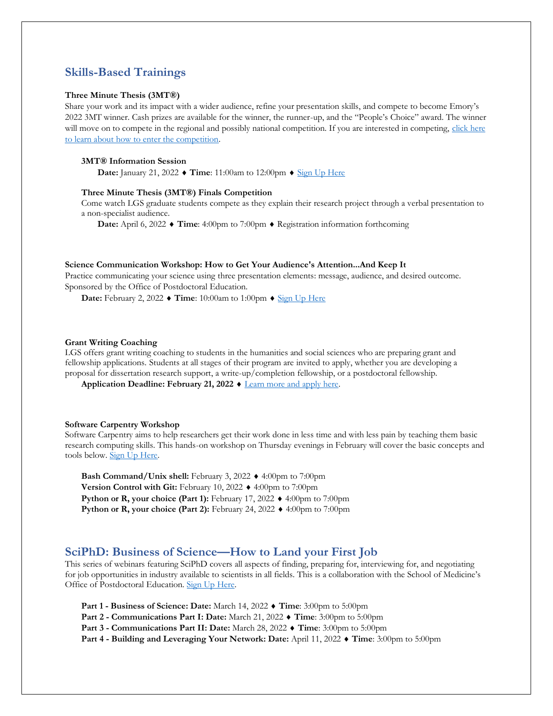## **Skills-Based Trainings**

#### **Three Minute Thesis (3MT®)**

Share your work and its impact with a wider audience, refine your presentation skills, and compete to become Emory's 2022 3MT winner. Cash prizes are available for the winner, the runner-up, and the "People's Choice" award. The winner will move on to compete in the regional and possibly national competition. If you are interested in competing, click here [to learn about how to enter the competition.](https://www.gs.emory.edu/professional-development/sharpening-skills/3MT.html)

#### **3MT® Information Session**

**Date:** January 21, 2022 ♦ Time: 11:00am to 12:00pm ♦ [Sign Up Here](https://www.trumba.com/calendars/Emory_Grad_School_Main?eventid=156984592)

#### **Three Minute Thesis (3MT®) Finals Competition**

Come watch LGS graduate students compete as they explain their research project through a verbal presentation to a non-specialist audience.

**Date:** April 6, 2022 ♦ Time: 4:00pm to 7:00pm ♦ Registration information forthcoming

#### **Science Communication Workshop: How to Get Your Audience's Attention...And Keep It**

Practice communicating your science using three presentation elements: message, audience, and desired outcome. Sponsored by the Office of Postdoctoral Education.

**Date:** February 2, 2022 ♦ Time: 10:00am to 1:00pm ♦ [Sign Up Here](https://emory.zoom.us/meeting/register/tJUtd-CvqD8rH9HPgCVv4iiXPI4TDKEZZgLy)

#### **Grant Writing Coaching**

LGS offers grant writing coaching to students in the humanities and social sciences who are preparing grant and fellowship applications. Students at all stages of their program are invited to apply, whether you are developing a proposal for dissertation research support, a write-up/completion fellowship, or a postdoctoral fellowship.

**Application Deadline: February 21, 2022 ♦ [Learn more and apply here.](https://www.gs.emory.edu/professional-development/sharpening-skills/grant-writing/index.html)** 

#### **Software Carpentry Workshop**

Software Carpentry aims to help researchers get their work done in less time and with less pain by teaching them basic research computing skills. This hands-on workshop on Thursday evenings in February will cover the basic concepts and tools below. **Sign Up Here.** 

Bash Command/Unix shell: February 3, 2022  $\blacklozenge$  4:00pm to 7:00pm Version Control with Git: February 10, 2022  $\blacklozenge$  4:00pm to 7:00pm **Python or R, your choice (Part 1):** February 17, 2022  $\blacklozenge$  4:00pm to 7:00pm **Python or R, your choice (Part 2):** February 24, 2022  $\blacklozenge$  4:00pm to 7:00pm

## **SciPhD: Business of Science—How to Land your First Job**

This series of webinars featuring SciPhD covers all aspects of finding, preparing for, interviewing for, and negotiating for job opportunities in industry available to scientists in all fields. This is a collaboration with the School of Medicine's Office of Postdoctoral Education. [Sign Up Here.](https://forms.office.com/Pages/ResponsePage.aspx?id=nPsE4KSwT0K80DImBtXfOGtVMURgKlhOlWv2eLCGVh5UMzZFNjM1TEozTzdFU1g3NkhVNktISDZFRy4u)

**Part 1 - Business of Science: Date:** March 14, 2022 **Time**: 3:00pm to 5:00pm

**Part 2 - Communications Part I: Date:** March 21, 2022 **Time**: 3:00pm to 5:00pm

**Part 3 - Communications Part II: Date:** March 28, 2022 **Time**: 3:00pm to 5:00pm

**Part 4 - Building and Leveraging Your Network: Date:** April 11, 2022 **Time**: 3:00pm to 5:00pm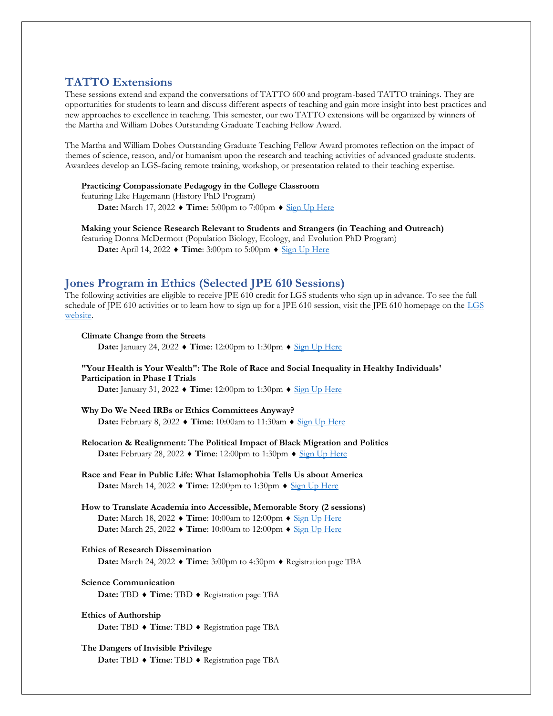## **TATTO Extensions**

These sessions extend and expand the conversations of TATTO 600 and program-based TATTO trainings. They are opportunities for students to learn and discuss different aspects of teaching and gain more insight into best practices and new approaches to excellence in teaching. This semester, our two TATTO extensions will be organized by winners of the Martha and William Dobes Outstanding Graduate Teaching Fellow Award.

The Martha and William Dobes Outstanding Graduate Teaching Fellow Award promotes reflection on the impact of themes of science, reason, and/or humanism upon the research and teaching activities of advanced graduate students. Awardees develop an LGS-facing remote training, workshop, or presentation related to their teaching expertise.

#### **Practicing Compassionate Pedagogy in the College Classroom**

featuring Like Hagemann (History PhD Program)

**Date:** March 17, 2022  $\blacklozenge$  **Time**: 5:00pm to 7:00pm  $\blacklozenge$  [Sign Up Here](https://www.trumba.com/calendars/Emory_Grad_School_Main?eventid=157192807)

**Making your Science Research Relevant to Students and Strangers (in Teaching and Outreach)**

featuring Donna McDermott (Population Biology, Ecology, and Evolution PhD Program) **Date:** April 14, 2022 ♦ Time: 3:00pm to 5:00pm ♦ [Sign Up Here](https://www.trumba.com/calendars/Emory_Grad_School_Main?eventid=157192835)

# **Jones Program in Ethics (Selected JPE 610 Sessions)**

The following activities are eligible to receive JPE 610 credit for LGS students who sign up in advance. To see the full schedule of JPE 610 activities or to learn how to sign up for a JPE 610 session, visit the JPE 610 homepage on the LGS [website.](https://www.gs.emory.edu/professional-development/jpe/jpe610.html)

#### **Climate Change from the Streets Date:** January 24, 2022 ♦ Time: 12:00pm to 1:30pm ♦ [Sign Up Here](https://www.trumba.com/calendars/Emory_Grad_School_Main?eventid=157326407)

**"Your Health is Your Wealth": The Role of Race and Social Inequality in Healthy Individuals' Participation in Phase I Trials Date:** January 31, 2022 ♦ Time: 12:00pm to 1:30pm ♦ [Sign Up Here](https://www.trumba.com/calendars/Emory_Grad_School_Main?eventid=157326853)

**Why Do We Need IRBs or Ethics Committees Anyway? Date:** February 8, 2022 ♦ Time: 10:00am to 11:30am ♦ [Sign Up Here](https://www.trumba.com/calendars/Emory_Grad_School_Main?eventid=157028418)

**Relocation & Realignment: The Political Impact of Black Migration and Politics Date:** February 28, 2022 ♦ **Time**: 12:00pm to 1:30pm ♦ [Sign Up Here](https://www.trumba.com/calendars/Emory_Grad_School_Main?eventid=157326861)

**Race and Fear in Public Life: What Islamophobia Tells Us about America Date:** March 14, 2022 ♦ Time: 12:00pm to 1:30pm ♦ [Sign Up Here](https://www.trumba.com/calendars/Emory_Grad_School_Main?eventid=157326877)

**How to Translate Academia into Accessible, Memorable Story (2 sessions) Date:** March 18, 2022  $\blacklozenge$  **Time**: 10:00am to 12:00pm  $\blacklozenge$  [Sign Up Here](https://www.trumba.com/calendars/Emory_Grad_School_Main?eventid=156944091) **Date:** March 25, 2022  $\blacklozenge$  **Time**: 10:00am to 12:00pm  $\blacklozenge$  [Sign Up Here](https://www.trumba.com/calendars/Emory_Grad_School_Main?eventid=157192628)

#### **Ethics of Research Dissemination**

**Date:** March 24, 2022 ♦ Time: 3:00pm to 4:30pm ♦ Registration page TBA

## **Science Communication**

**Date:** TBD ◆ **Time**: TBD ◆ Registration page TBA

## **Ethics of Authorship Date: TBD ♦ Time: TBD ♦ Registration page TBA**

### **The Dangers of Invisible Privilege Date: TBD ♦ Time: TBD ♦ Registration page TBA**